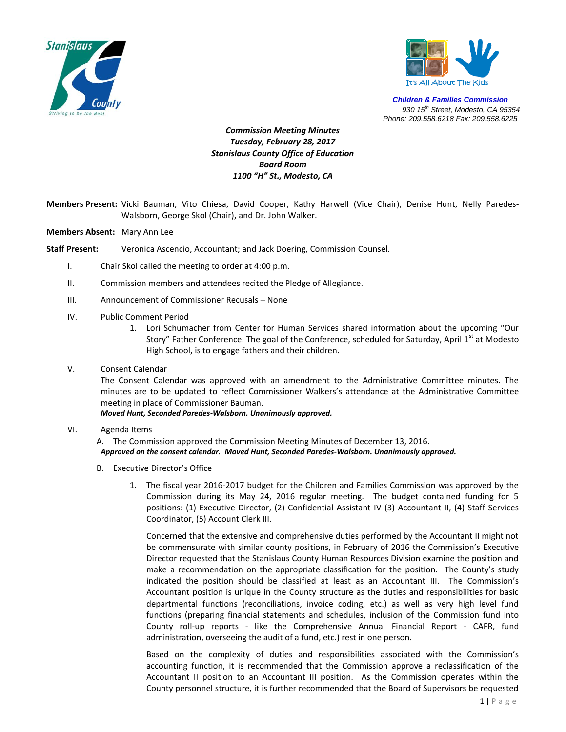



*Children & Families Commission 930 15th Street, Modesto, CA 95354 Phone: 209.558.6218 Fax: 209.558.6225*

## *Commission Meeting Minutes Tuesday, February 28, 2017 Stanislaus County Office of Education Board Room 1100 "H" St., Modesto, CA*

- **Members Present:** Vicki Bauman, Vito Chiesa, David Cooper, Kathy Harwell (Vice Chair), Denise Hunt, Nelly Paredes-Walsborn, George Skol (Chair), and Dr. John Walker.
- **Members Absent:** Mary Ann Lee
- **Staff Present:** Veronica Ascencio, Accountant; and Jack Doering, Commission Counsel.
	- I. Chair Skol called the meeting to order at 4:00 p.m.
	- II. Commission members and attendees recited the Pledge of Allegiance.
	- III. Announcement of Commissioner Recusals None
	- IV. Public Comment Period
		- 1. Lori Schumacher from Center for Human Services shared information about the upcoming "Our Story" Father Conference. The goal of the Conference, scheduled for Saturday, April 1st at Modesto High School, is to engage fathers and their children.
	- V. Consent Calendar

The Consent Calendar was approved with an amendment to the Administrative Committee minutes. The minutes are to be updated to reflect Commissioner Walkers's attendance at the Administrative Committee meeting in place of Commissioner Bauman.

*Moved Hunt, Seconded Paredes-Walsborn. Unanimously approved.*

VI. Agenda Items

A. The Commission approved the Commission Meeting Minutes of December 13, 2016. *Approved on the consent calendar. Moved Hunt, Seconded Paredes-Walsborn. Unanimously approved.*

- B. Executive Director's Office
	- 1. The fiscal year 2016-2017 budget for the Children and Families Commission was approved by the Commission during its May 24, 2016 regular meeting. The budget contained funding for 5 positions: (1) Executive Director, (2) Confidential Assistant IV (3) Accountant II, (4) Staff Services Coordinator, (5) Account Clerk III.

Concerned that the extensive and comprehensive duties performed by the Accountant II might not be commensurate with similar county positions, in February of 2016 the Commission's Executive Director requested that the Stanislaus County Human Resources Division examine the position and make a recommendation on the appropriate classification for the position. The County's study indicated the position should be classified at least as an Accountant III. The Commission's Accountant position is unique in the County structure as the duties and responsibilities for basic departmental functions (reconciliations, invoice coding, etc.) as well as very high level fund functions (preparing financial statements and schedules, inclusion of the Commission fund into County roll-up reports - like the Comprehensive Annual Financial Report - CAFR, fund administration, overseeing the audit of a fund, etc.) rest in one person.

Based on the complexity of duties and responsibilities associated with the Commission's accounting function, it is recommended that the Commission approve a reclassification of the Accountant II position to an Accountant III position. As the Commission operates within the County personnel structure, it is further recommended that the Board of Supervisors be requested